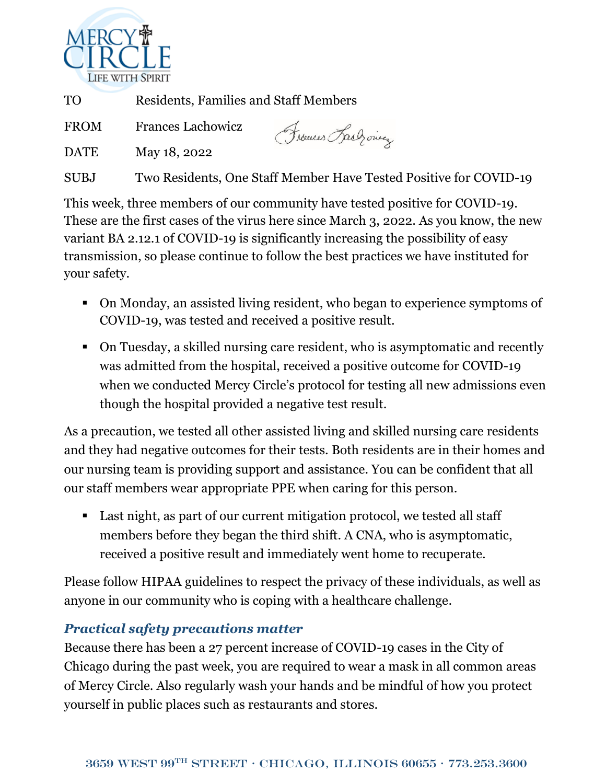

TO Residents, Families and Staff Members

FROM Frances Lachowicz

Frouces Lach ones

DATE May 18, 2022

SUBJ Two Residents, One Staff Member Have Tested Positive for COVID-19

This week, three members of our community have tested positive for COVID-19. These are the first cases of the virus here since March 3, 2022. As you know, the new variant BA 2.12.1 of COVID-19 is significantly increasing the possibility of easy transmission, so please continue to follow the best practices we have instituted for your safety.

- On Monday, an assisted living resident, who began to experience symptoms of COVID-19, was tested and received a positive result.
- On Tuesday, a skilled nursing care resident, who is asymptomatic and recently was admitted from the hospital, received a positive outcome for COVID-19 when we conducted Mercy Circle's protocol for testing all new admissions even though the hospital provided a negative test result.

As a precaution, we tested all other assisted living and skilled nursing care residents and they had negative outcomes for their tests. Both residents are in their homes and our nursing team is providing support and assistance. You can be confident that all our staff members wear appropriate PPE when caring for this person.

■ Last night, as part of our current mitigation protocol, we tested all staff members before they began the third shift. A CNA, who is asymptomatic, received a positive result and immediately went home to recuperate.

Please follow HIPAA guidelines to respect the privacy of these individuals, as well as anyone in our community who is coping with a healthcare challenge.

## *Practical safety precautions matter*

Because there has been a 27 percent increase of COVID-19 cases in the City of Chicago during the past week, you are required to wear a mask in all common areas of Mercy Circle. Also regularly wash your hands and be mindful of how you protect yourself in public places such as restaurants and stores.